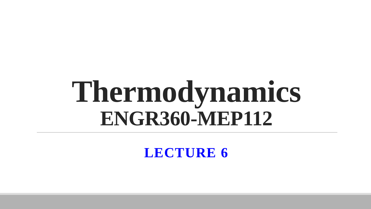# **Thermodynamics ENGR360-MEP112**

**LECTURE 6**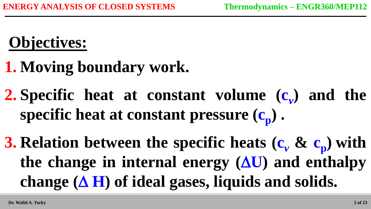# **Objectives:**

- **1. Moving boundary work.**
- **2.** Specific heat at constant volume  $(c_v)$  and the **specific heat at constant pressure (c<sup>p</sup> ) .**
- **3.** Relation between the specific heats  $(c_\nu \& c_\nu)$  with the change in internal energy  $(\Delta U)$  and enthalpy change  $(\Delta H)$  of ideal gases, liquids and solids.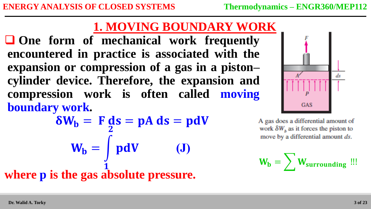**One form of mechanical work frequently encountered in practice is associated with the expansion or compression of a gas in a piston– cylinder device. Therefore, the expansion and compression work is often called moving boundary work.**

$$
\delta W_{b} = F ds = pA ds = pdV
$$
  

$$
W_{b} = \int pdV
$$
 (J)  
where p is the gas absolute pressure.



A gas does a differential amount of work  $\delta W_h$  as it forces the piston to move by a differential amount ds.

$$
W_b = \sum W_{surrounding} \ \mathbf{u}.
$$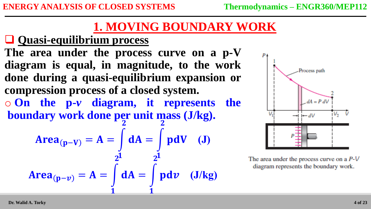#### **Quasi-equilibrium process**

**The area under the process curve on a p-V diagram is equal, in magnitude, to the work done during a quasi-equilibrium expansion or compression process of a closed system.** o **On the p-***v* **diagram, it represents the boundary work done per unit mass (J/kg).**  $\overline{\mathbf{2}}$  2

$$
Area_{(p-V)} = A = \int_{2^1} dA = \int_{2^1} pdV \quad (J)
$$
  
Area<sub>(p-v)</sub> = A =  $\int_{1}^{2^1} dA = \int_{1}^{2^1} pdv \quad (J/kg)$ 



The area under the process curve on a  $P-V$ diagram represents the boundary work.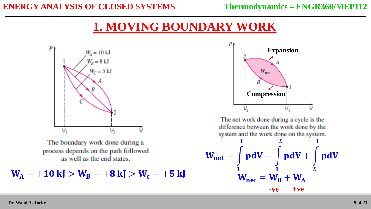

The boundary work done during a process depends on the path followed as well as the end states.

 $W_A = +10 \text{ kJ} > W_B = +8 \text{ kJ} > W_c = +5 \text{ kJ}$ 



The net work done during a cycle is the difference between the work done by the system and the work done on the system.

$$
W_{\text{net}} = \int_{1}^{1} \text{pd}V = \int_{1}^{2} \text{pd}V + \int_{2}^{1} \text{pd}V
$$

$$
W_{\text{net}} = W_{\text{B}} + W_{\text{A}}
$$

$$
-ve + ve
$$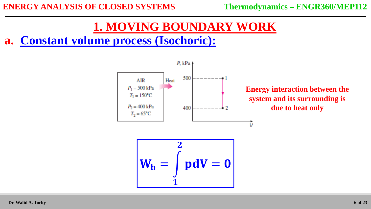#### **a. Constant volume process (Isochoric):**



**Energy interaction between the system and its surrounding is due to heat only**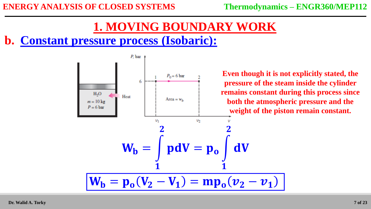#### **b. Constant pressure process (Isobaric):**



**Even though it is not explicitly stated, the pressure of the steam inside the cylinder remains constant during this process since both the atmospheric pressure and the weight of the piston remain constant.**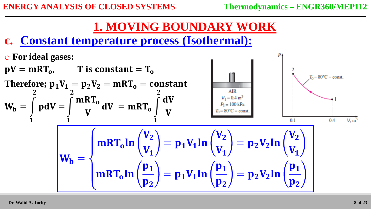#### **c. Constant temperature process (Isothermal):**

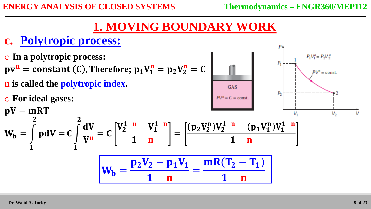#### **c. Polytropic process:**

o **In a polytropic process:**  $P_1 V_1^n = P_2 V_2^n$  $pv^n = constant (C)$ , Therefore;  $p_1V_1^n = p_2V_2^n = C$  $P\mathsf{V}^n = \text{const.}$ **n is called the polytropic index. GAS** o **For ideal gases:**  $pV = mRT$ V. V,  $\overline{\mathbf{2}}$  $\overline{\mathbf{2}}$  $V_2^{1-n} - V_1^{1-n}$  $p_2V_2^n)V_2^{1-n}-(p_1V_1^n)V_1^{1-n}$  $\bf dV$  $W_{\text{b}} =$  $pdV = C$  $= C$ = V<sup>n</sup>  $1-\mathbf{n}$  $1-\mathbf{n}$  $\mathbf{1}$  $\mathbf{1}$  $\mathbf{p}_2\mathbf{V}_2-\mathbf{p}_1\mathbf{V}_1$  $mR(T_2-T_1)$  $W_{\text{b}} =$ =  $1-\mathbf{n}$  $1-\mathbf{n}$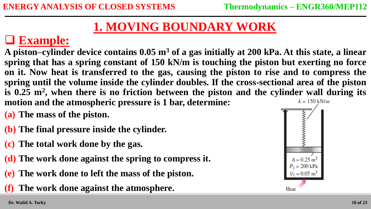### **Example:**

**A piston–cylinder device contains 0.05 m<sup>3</sup> of a gas initially at 200 kPa. At this state, a linear spring that has a spring constant of 150 kN/m is touching the piston but exerting no force on it. Now heat is transferred to the gas, causing the piston to rise and to compress the spring until the volume inside the cylinder doubles. If the cross-sectional area of the piston is 0.25 m<sup>2</sup> , when there is no friction between the piston and the cylinder wall during its motion and the atmospheric pressure is 1 bar, determine:**  $k = 150 \text{ kN/m}$ 

- **(a) The mass of the piston.**
- **(b) The final pressure inside the cylinder.**
- **(c) The total work done by the gas.**
- **(d) The work done against the spring to compress it.**
- **(e) The work done to left the mass of the piston.**
- **(f) The work done against the atmosphere.**

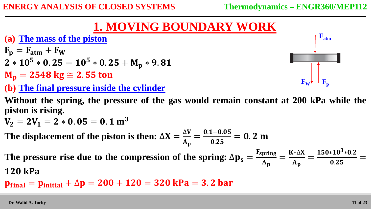**(a) The mass of the piston**

```
F_{\rm D} = F_{\rm atm} + F_{\rm W}
```

$$
2*105 * 0.25 = 105 * 0.25 + Mp * 9.81
$$

- $M_p = 2548 \text{ kg} \approx 2.55 \text{ ton}$
- **(b) The final pressure inside the cylinder**

**Without the spring, the pressure of the gas would remain constant at 200 kPa while the piston is rising.** 

$$
V_2 = 2V_1 = 2 * 0.05 = 0.1 m^3
$$

The displacement of the piston is then:  $\Delta X =$  $\Delta$ V  $A_{\bf p}$ =  $0.1 - 0.05$ 0.25  $= 0.2 m$ 

The pressure rise due to the compression of the spring:  $\Delta p_s =$ Fspring  $\mathbf{A}_{\mathbf{p}}$ = ∗∆  $\mathbf{A}_{\mathbf{p}}$ =  $150*10^3*0.2$ 0.25 = **120 kPa** 

 $p_{final} = p_{initial} + \Delta p = 200 + 120 = 320$  kPa = 3.2 bar

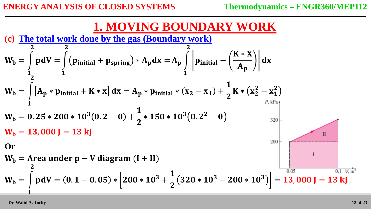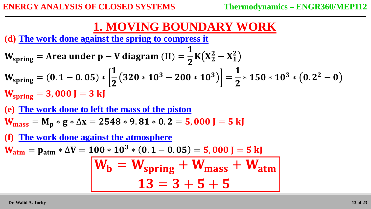**(d) The work done against the spring to compress it**

$$
W_{spring} = Area under p - V diagram (II) = \frac{1}{2}K(X_2^2 - X_1^2)
$$
  
\n
$$
W_{spring} = (0.1 - 0.05) * \left[ \frac{1}{2} (320 * 10^3 - 200 * 10^3) \right] = \frac{1}{2} * 150 * 10^3 * (0.2^2 - 0)
$$
  
\n
$$
W_{spring} = 3,000 J = 3 kJ
$$

**(e) The work done to left the mass of the piston**

 $W_{mass} = M_p * g * \Delta x = 2548 * 9.81 * 0.2 = 5,000 J = 5 kJ$ 

**(f) The work done against the atmosphere**

 $W_{\text{atm}} = p_{\text{atm}} * \Delta V = 100 * 10^3 * (0.1 - 0.05) = 5,000 J = 5 kJ$ 

$$
W_b = W_{spring} + W_{mass} + W_{atm}
$$

$$
13 = 3 + 5 + 5
$$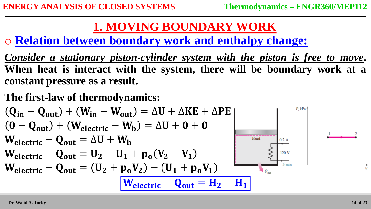o **Relation between boundary work and enthalpy change:**

- *Consider a stationary piston-cylinder system with the piston is free to move***. When heat is interact with the system, there will be boundary work at a constant pressure as a result.**
- **The first-law of thermodynamics:**

$$
(Q_{in} - Q_{out}) + (W_{in} - W_{out}) = \Delta U + \Delta KE + \Delta PE
$$
\n
$$
(0 - Q_{out}) + (W_{electric} - W_{b}) = \Delta U + 0 + 0
$$
\n
$$
W_{electric} - Q_{out} = \Delta U + W_{b}
$$
\n
$$
W_{electric} - Q_{out} = U_{2} - U_{1} + p_{o}(V_{2} - V_{1})
$$
\n
$$
W_{electric} - Q_{out} = (U_{2} + p_{o}V_{2}) - (U_{1} + p_{o}V_{1})
$$
\n
$$
W_{electric} - Q_{out} = (U_{2} + p_{o}V_{2}) - (U_{1} + p_{o}V_{1})
$$
\n
$$
W_{electric} - Q_{out} = H_{2} - H_{1}
$$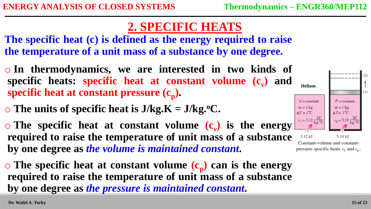#### **2. SPECIFIC HEATS**

**The specific heat (c) is defined as the energy required to raise the temperature of a unit mass of a substance by one degree.**

- o **In thermodynamics, we are interested in two kinds of specific heats: specific heat at constant volume (c***<sup>v</sup>* **) and specific heat at constant pressure (c<sup>p</sup> ).**
- $\circ$  The units of specific heat is  $J/kg.K = J/kg.$ <sup>o</sup>C.

 $\circ$  The specific heat at constant volume  $(c_v)$  is the energy **required to raise the temperature of unit mass of a substance by one degree as** *the volume is maintained constant***.**

 $\circ$  The specific heat at constant volume  $(c_p)$  can is the energy **required to raise the temperature of unit mass of a substance by one degree as** *the pressure is maintained constant***.**



Constant-volume and constantpressure specific heats  $c_v$  and  $c_p$ .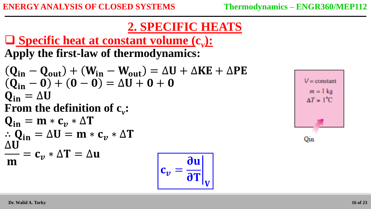#### **2. SPECIFIC HEATS**

 $\partial T\big|_V$ 

 **Specific heat at constant volume (c***<sup>v</sup>* **): Apply the first-law of thermodynamics:**

 $(Q_{in} - Q_{out}) + (W_{in} - W_{out}) = \Delta U + \Delta KE + \Delta PE$  $(Q_{in} - 0) + (0 - 0) = \Delta U + 0 + 0$  $Q_{in} = \Delta U$ **From the definition of c***<sup>v</sup>* **:**  $Q_{\rm in} = m * c_n * \Delta T$  $\therefore$  Q<sub>in</sub> =  $\Delta U = m * c_n * \Delta T$ ∆ m  $= \mathbf{c}_{v} * \Delta \mathbf{T} = \Delta \mathbf{u}$  $c_v = \frac{5\pi}{2T}$ du

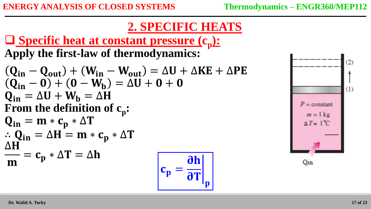#### **2. SPECIFIC HEATS**

**JL** 

 $\overline{\mathbf{p}}$ 

 **Specific heat at constant pressure (c<sup>p</sup> ): Apply the first-law of thermodynamics:**

$$
(Q_{in} - Q_{out}) + (W_{in} - W_{out}) = \Delta U + \Delta KE + \Delta PE
$$
  
\n
$$
(Q_{in} - 0) + (0 - W_b) = \Delta U + 0 + 0
$$
  
\n
$$
Q_{in} = \Delta U + W_b = \Delta H
$$
  
\nFrom the definition of c<sub>p</sub>:  
\n
$$
Q_{in} = m * c_p * \Delta T
$$
  
\n
$$
\therefore Q_{in} = \Delta H = m * c_p * \Delta T
$$
  
\n
$$
\frac{\Delta H}{m} = c_p * \Delta T = \Delta h
$$
  
\n
$$
c_p = \frac{\partial h}{\partial T}
$$

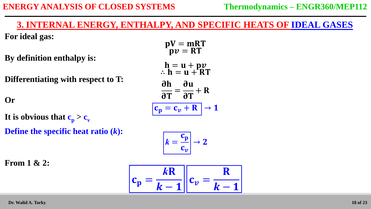#### **ENERGY ANALYSIS OF CLOSED SYSTEMS Thermodynamics – ENGR360/MEP112**

#### **3. INTERNAL ENERGY, ENTHALPY, AND SPECIFIC HEATS OF IDEAL GASES**

 $nV = mRT$ 

**For ideal gas:**

**By definition enthalpy is:**

**Differentiating with respect to T:**

**Or**

It is obvious that  $c_p > c_v$ 

**Define the specific heat ratio (***k***):**

$$
pv = RT
$$
  
\n
$$
h = u + pv
$$
  
\n
$$
\therefore h = u + RT
$$
  
\n
$$
\frac{\partial h}{\partial T} = \frac{\partial u}{\partial T} + R
$$
  
\n
$$
\frac{c_p = c_v + R}{2} \to 1
$$

$$
k = \frac{c_p}{c_v} \rightarrow 2
$$

**From 1 & 2:**

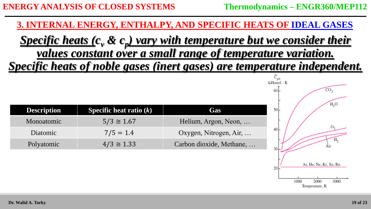**3. INTERNAL ENERGY, ENTHALPY, AND SPECIFIC HEATS OF IDEAL GASES**

*Specific heats (c<sup>v</sup> & c<sup>p</sup> ) vary with temperature but we consider their values constant over a small range of temperature variation. Specific heats of noble gases (inert gases) are temperature independent.*

| <b>Description</b> | <b>Specific heat ratio</b> $(k)$ | Gas                      |
|--------------------|----------------------------------|--------------------------|
| Monoatomic         | $5/3 \cong 1.67$                 | Helium, Argon, Neon,     |
| <b>Diatomic</b>    | $7/5 = 1.4$                      | Oxygen, Nitrogen, Air,   |
| Polyatomic         | $4/3 \approx 1.33$               | Carbon dioxide, Methane, |

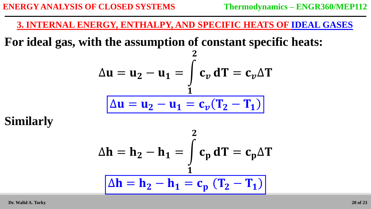**3. INTERNAL ENERGY, ENTHALPY, AND SPECIFIC HEATS OF IDEAL GASES**

**For ideal gas, with the assumption of constant specific heats:**

$$
\Delta \mathbf{u} = \mathbf{u}_2 - \mathbf{u}_1 = \int_1^2 \mathbf{c}_v \, d\mathbf{T} = \mathbf{c}_v \Delta \mathbf{T}
$$

$$
\Delta \mathbf{u} = \mathbf{u}_2 - \mathbf{u}_1 = \mathbf{c}_v (\mathbf{T}_2 - \mathbf{T}_1)
$$

**Similarly**

$$
\Delta h = h_2 - h_1 = \int_{1}^{2} c_p \, dT = c_p \Delta T
$$

$$
\Delta h = h_2 - h_1 = c_p (T_2 - T_1)
$$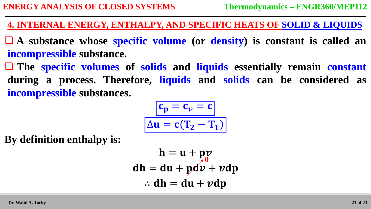**4. INTERNAL ENERGY, ENTHALPY, AND SPECIFIC HEATS OF SOLID & LIQUIDS**

 **A substance whose specific volume (or density) is constant is called an incompressible substance.** 

 **The specific volumes of solids and liquids essentially remain constant during a process. Therefore, liquids and solids can be considered as incompressible substances.**

$$
\frac{c_p = c_v = c}{\Delta u = c(T_2 - T_1)}
$$

**By definition enthalpy is:**

$$
h = u + pv
$$
  
dh = du + pdv + vdp  
:. dh = du + vdp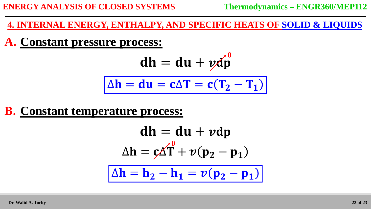#### **4. INTERNAL ENERGY, ENTHALPY, AND SPECIFIC HEATS OF SOLID & LIQUIDS**

#### **A. Constant pressure process:**

$$
dh = du + ydp^0
$$

$$
\Delta h = du = c\Delta T = c(T_2 - T_1)
$$

#### **B. Constant temperature process:**

$$
dh = du + \nu dp
$$

$$
\Delta h = \varsigma \Delta T + \upsilon (p_2 - p_1)
$$

$$
\Delta h = h_2 - h_1 = \upsilon (p_2 - p_1)
$$